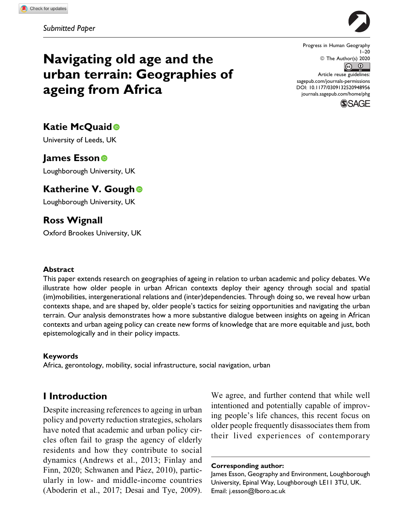

Progress in Human Geography  $1 - 20$ © The Author(s) 2020

### $\circledcirc$

Article reuse guidelines: [sagepub.com/journals-permissions](https://sagepub.com/journals-permissions) [DOI: 10.1177/0309132520948956](https://doi.org/10.1177/0309132520948956) [journals.sagepub.com/home/phg](http://journals.sagepub.com/home/phg)



Katie McQuaid<sup>®</sup>

ageing from Africa

Navigating old age and the

urban terrain: Geographies of

University of Leeds, UK

James Esson<sup>®</sup>

Loughborough University, UK

Katherine V. Gough

Loughborough University, UK

# Ross Wignall

Oxford Brookes University, UK

### Abstract

This paper extends research on geographies of ageing in relation to urban academic and policy debates. We illustrate how older people in urban African contexts deploy their agency through social and spatial (im)mobilities, intergenerational relations and (inter)dependencies. Through doing so, we reveal how urban contexts shape, and are shaped by, older people's tactics for seizing opportunities and navigating the urban terrain. Our analysis demonstrates how a more substantive dialogue between insights on ageing in African contexts and urban ageing policy can create new forms of knowledge that are more equitable and just, both epistemologically and in their policy impacts.

#### Keywords

Africa, gerontology, mobility, social infrastructure, social navigation, urban

### I Introduction

Despite increasing references to ageing in urban policy and poverty reduction strategies, scholars have noted that academic and urban policy circles often fail to grasp the agency of elderly residents and how they contribute to social dynamics (Andrews et al., 2013; Finlay and Finn, 2020; Schwanen and Páez, 2010), particularly in low- and middle-income countries (Aboderin et al., 2017; Desai and Tye, 2009).

We agree, and further contend that while well intentioned and potentially capable of improving people's life chances, this recent focus on older people frequently disassociates them from their lived experiences of contemporary

Corresponding author:

James Esson, Geography and Environment, Loughborough University, Epinal Way, Loughborough LE11 3TU, UK. Email: [j.esson@lboro.ac.uk](mailto:j.esson@lboro.ac.uk)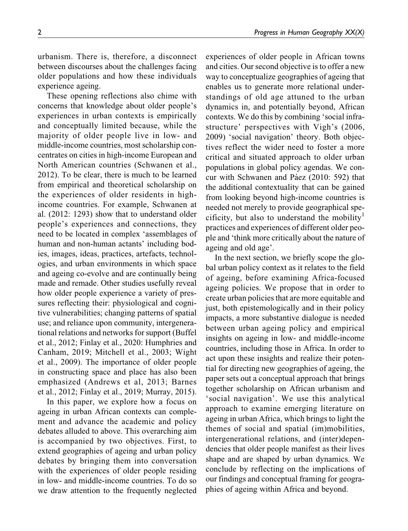urbanism. There is, therefore, a disconnect between discourses about the challenges facing older populations and how these individuals experience ageing.

These opening reflections also chime with concerns that knowledge about older people's experiences in urban contexts is empirically and conceptually limited because, while the majority of older people live in low- and middle-income countries, most scholarship concentrates on cities in high-income European and North American countries (Schwanen et al., 2012). To be clear, there is much to be learned from empirical and theoretical scholarship on the experiences of older residents in highincome countries. For example, Schwanen at al. (2012: 1293) show that to understand older people's experiences and connections, they need to be located in complex 'assemblages of human and non-human actants' including bodies, images, ideas, practices, artefacts, technologies, and urban environments in which space and ageing co-evolve and are continually being made and remade. Other studies usefully reveal how older people experience a variety of pressures reflecting their: physiological and cognitive vulnerabilities; changing patterns of spatial use; and reliance upon community, intergenerational relations and networks for support (Buffel et al., 2012; Finlay et al., 2020: Humphries and Canham, 2019; Mitchell et al., 2003; Wight et al., 2009). The importance of older people in constructing space and place has also been emphasized (Andrews et al, 2013; Barnes et al., 2012; Finlay et al., 2019; Murray, 2015).

In this paper, we explore how a focus on ageing in urban African contexts can complement and advance the academic and policy debates alluded to above. This overarching aim is accompanied by two objectives. First, to extend geographies of ageing and urban policy debates by bringing them into conversation with the experiences of older people residing in low- and middle-income countries. To do so we draw attention to the frequently neglected

experiences of older people in African towns and cities. Our second objective is to offer a new way to conceptualize geographies of ageing that enables us to generate more relational understandings of old age attuned to the urban dynamics in, and potentially beyond, African contexts. We do this by combining 'social infrastructure' perspectives with Vigh's (2006, 2009) 'social navigation' theory. Both objectives reflect the wider need to foster a more critical and situated approach to older urban populations in global policy agendas. We concur with Schwanen and Páez (2010: 592) that the additional contextuality that can be gained from looking beyond high-income countries is needed not merely to provide geographical specificity, but also to understand the mobility<sup>1</sup> practices and experiences of different older people and 'think more critically about the nature of ageing and old age'.

In the next section, we briefly scope the global urban policy context as it relates to the field of ageing, before examining Africa-focused ageing policies. We propose that in order to create urban policies that are more equitable and just, both epistemologically and in their policy impacts, a more substantive dialogue is needed between urban ageing policy and empirical insights on ageing in low- and middle-income countries, including those in Africa. In order to act upon these insights and realize their potential for directing new geographies of ageing, the paper sets out a conceptual approach that brings together scholarship on African urbanism and 'social navigation'. We use this analytical approach to examine emerging literature on ageing in urban Africa, which brings to light the themes of social and spatial (im)mobilities, intergenerational relations, and (inter)dependencies that older people manifest as their lives shape and are shaped by urban dynamics. We conclude by reflecting on the implications of our findings and conceptual framing for geographies of ageing within Africa and beyond.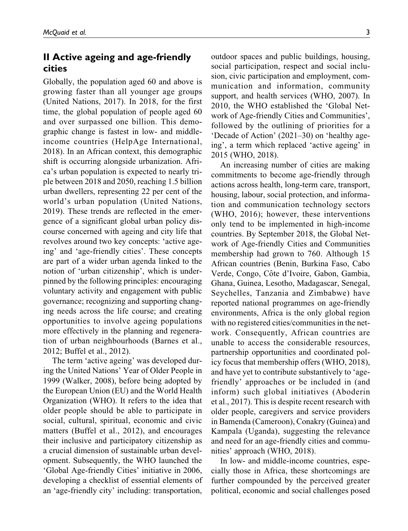## II Active ageing and age-friendly cities

Globally, the population aged 60 and above is growing faster than all younger age groups (United Nations, 2017). In 2018, for the first time, the global population of people aged 60 and over surpassed one billion. This demographic change is fastest in low- and middleincome countries (HelpAge International, 2018). In an African context, this demographic shift is occurring alongside urbanization. Africa's urban population is expected to nearly triple between 2018 and 2050, reaching 1.5 billion urban dwellers, representing 22 per cent of the world's urban population (United Nations, 2019). These trends are reflected in the emergence of a significant global urban policy discourse concerned with ageing and city life that revolves around two key concepts: 'active ageing' and 'age-friendly cities'. These concepts are part of a wider urban agenda linked to the notion of 'urban citizenship', which is underpinned by the following principles: encouraging voluntary activity and engagement with public governance; recognizing and supporting changing needs across the life course; and creating opportunities to involve ageing populations more effectively in the planning and regeneration of urban neighbourhoods (Barnes et al., 2012; Buffel et al., 2012).

The term 'active ageing' was developed during the United Nations' Year of Older People in 1999 (Walker, 2008), before being adopted by the European Union (EU) and the World Health Organization (WHO). It refers to the idea that older people should be able to participate in social, cultural, spiritual, economic and civic matters (Buffel et al., 2012), and encourages their inclusive and participatory citizenship as a crucial dimension of sustainable urban development. Subsequently, the WHO launched the 'Global Age-friendly Cities' initiative in 2006, developing a checklist of essential elements of an 'age-friendly city' including: transportation, outdoor spaces and public buildings, housing, social participation, respect and social inclusion, civic participation and employment, communication and information, community support, and health services (WHO, 2007). In 2010, the WHO established the 'Global Network of Age-friendly Cities and Communities', followed by the outlining of priorities for a 'Decade of Action' (2021–30) on 'healthy ageing', a term which replaced 'active ageing' in 2015 (WHO, 2018).

An increasing number of cities are making commitments to become age-friendly through actions across health, long-term care, transport, housing, labour, social protection, and information and communication technology sectors (WHO, 2016); however, these interventions only tend to be implemented in high-income countries. By September 2018, the Global Network of Age-friendly Cities and Communities membership had grown to 760. Although 15 African countries (Benin, Burkina Faso, Cabo Verde, Congo, Côte d'Ivoire, Gabon, Gambia, Ghana, Guinea, Lesotho, Madagascar, Senegal, Seychelles, Tanzania and Zimbabwe) have reported national programmes on age-friendly environments, Africa is the only global region with no registered cities/communities in the network. Consequently, African countries are unable to access the considerable resources, partnership opportunities and coordinated policy focus that membership offers (WHO, 2018), and have yet to contribute substantively to 'agefriendly' approaches or be included in (and inform) such global initiatives (Aboderin et al., 2017). This is despite recent research with older people, caregivers and service providers in Bamenda (Cameroon), Conakry (Guinea) and Kampala (Uganda), suggesting the relevance and need for an age-friendly cities and communities' approach (WHO, 2018).

In low- and middle-income countries, especially those in Africa, these shortcomings are further compounded by the perceived greater political, economic and social challenges posed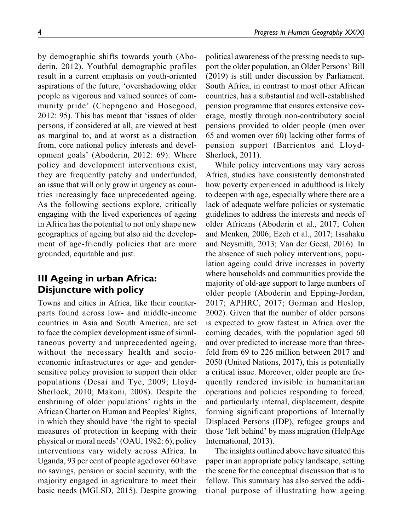by demographic shifts towards youth (Aboderin, 2012). Youthful demographic profiles result in a current emphasis on youth-oriented aspirations of the future, 'overshadowing older people as vigorous and valued sources of community pride' (Chepngeno and Hosegood, 2012: 95). This has meant that 'issues of older persons, if considered at all, are viewed at best as marginal to, and at worst as a distraction from, core national policy interests and development goals' (Aboderin, 2012: 69). Where policy and development interventions exist, they are frequently patchy and underfunded, an issue that will only grow in urgency as countries increasingly face unprecedented ageing. As the following sections explore, critically engaging with the lived experiences of ageing in Africa has the potential to not only shape new geographies of ageing but also aid the development of age-friendly policies that are more grounded, equitable and just.

# III Ageing in urban Africa: Disjuncture with policy

Towns and cities in Africa, like their counterparts found across low- and middle-income countries in Asia and South America, are set to face the complex development issue of simultaneous poverty and unprecedented ageing, without the necessary health and socioeconomic infrastructures or age- and gendersensitive policy provision to support their older populations (Desai and Tye, 2009; Lloyd-Sherlock, 2010; Makoni, 2008). Despite the enshrining of older populations' rights in the African Charter on Human and Peoples' Rights, in which they should have 'the right to special measures of protection in keeping with their physical or moral needs' (OAU, 1982: 6), policy interventions vary widely across Africa. In Uganda, 93 per cent of people aged over 60 have no savings, pension or social security, with the majority engaged in agriculture to meet their basic needs (MGLSD, 2015). Despite growing

political awareness of the pressing needs to support the older population, an Older Persons' Bill (2019) is still under discussion by Parliament. South Africa, in contrast to most other African countries, has a substantial and well-established pension programme that ensures extensive coverage, mostly through non-contributory social pensions provided to older people (men over 65 and women over 60) lacking other forms of pension support (Barrientos and Lloyd-Sherlock, 2011).

While policy interventions may vary across Africa, studies have consistently demonstrated how poverty experienced in adulthood is likely to deepen with age, especially where there are a lack of adequate welfare policies or systematic guidelines to address the interests and needs of older Africans (Aboderin et al., 2017; Cohen and Menken, 2006; Ezeh et al., 2017; Issahaku and Neysmith, 2013; Van der Geest, 2016). In the absence of such policy interventions, population ageing could drive increases in poverty where households and communities provide the majority of old-age support to large numbers of older people (Aboderin and Epping-Jordan, 2017; APHRC, 2017; Gorman and Heslop, 2002). Given that the number of older persons is expected to grow fastest in Africa over the coming decades, with the population aged 60 and over predicted to increase more than threefold from 69 to 226 million between 2017 and 2050 (United Nations, 2017), this is potentially a critical issue. Moreover, older people are frequently rendered invisible in humanitarian operations and policies responding to forced, and particularly internal, displacement, despite forming significant proportions of Internally Displaced Persons (IDP), refugee groups and those 'left behind' by mass migration (HelpAge International, 2013).

The insights outlined above have situated this paper in an appropriate policy landscape, setting the scene for the conceptual discussion that is to follow. This summary has also served the additional purpose of illustrating how ageing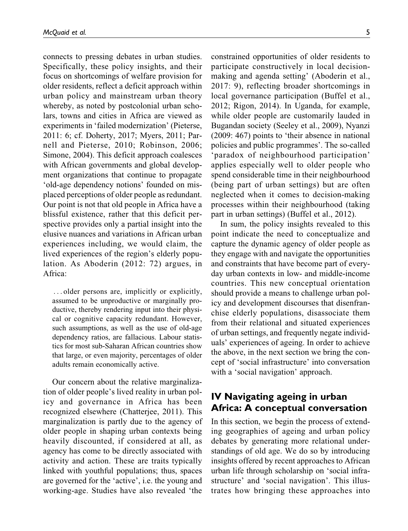connects to pressing debates in urban studies. Specifically, these policy insights, and their focus on shortcomings of welfare provision for older residents, reflect a deficit approach within urban policy and mainstream urban theory whereby, as noted by postcolonial urban scholars, towns and cities in Africa are viewed as experiments in 'failed modernization' (Pieterse, 2011: 6; cf. Doherty, 2017; Myers, 2011; Parnell and Pieterse, 2010; Robinson, 2006; Simone, 2004). This deficit approach coalesces with African governments and global development organizations that continue to propagate 'old-age dependency notions' founded on misplaced perceptions of older people as redundant. Our point is not that old people in Africa have a blissful existence, rather that this deficit perspective provides only a partial insight into the elusive nuances and variations in African urban experiences including, we would claim, the lived experiences of the region's elderly population. As Aboderin (2012: 72) argues, in Africa:

... older persons are, implicitly or explicitly, assumed to be unproductive or marginally productive, thereby rendering input into their physical or cognitive capacity redundant. However, such assumptions, as well as the use of old-age dependency ratios, are fallacious. Labour statistics for most sub-Saharan African countries show that large, or even majority, percentages of older adults remain economically active.

Our concern about the relative marginalization of older people's lived reality in urban policy and governance in Africa has been recognized elsewhere (Chatterjee, 2011). This marginalization is partly due to the agency of older people in shaping urban contexts being heavily discounted, if considered at all, as agency has come to be directly associated with activity and action. These are traits typically linked with youthful populations; thus, spaces are governed for the 'active', i.e. the young and working-age. Studies have also revealed 'the constrained opportunities of older residents to participate constructively in local decisionmaking and agenda setting' (Aboderin et al., 2017: 9), reflecting broader shortcomings in local governance participation (Buffel et al., 2012; Rigon, 2014). In Uganda, for example, while older people are customarily lauded in Bugandan society (Seeley et al., 2009), Nyanzi (2009: 467) points to 'their absence in national policies and public programmes'. The so-called 'paradox of neighbourhood participation' applies especially well to older people who spend considerable time in their neighbourhood (being part of urban settings) but are often neglected when it comes to decision-making processes within their neighbourhood (taking part in urban settings) (Buffel et al., 2012).

In sum, the policy insights revealed to this point indicate the need to conceptualize and capture the dynamic agency of older people as they engage with and navigate the opportunities and constraints that have become part of everyday urban contexts in low- and middle-income countries. This new conceptual orientation should provide a means to challenge urban policy and development discourses that disenfranchise elderly populations, disassociate them from their relational and situated experiences of urban settings, and frequently negate individuals' experiences of ageing. In order to achieve the above, in the next section we bring the concept of 'social infrastructure' into conversation with a 'social navigation' approach.

## IV Navigating ageing in urban Africa: A conceptual conversation

In this section, we begin the process of extending geographies of ageing and urban policy debates by generating more relational understandings of old age. We do so by introducing insights offered by recent approaches to African urban life through scholarship on 'social infrastructure' and 'social navigation'. This illustrates how bringing these approaches into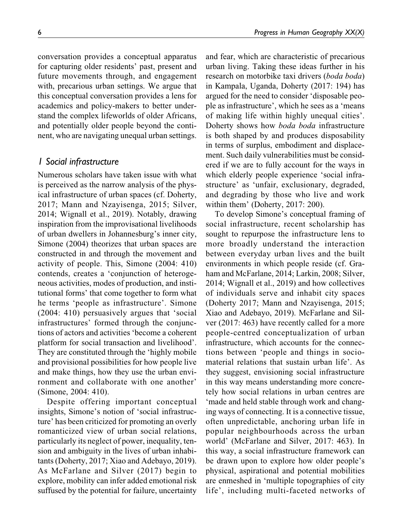conversation provides a conceptual apparatus for capturing older residents' past, present and future movements through, and engagement with, precarious urban settings. We argue that this conceptual conversation provides a lens for academics and policy-makers to better understand the complex lifeworlds of older Africans, and potentially older people beyond the continent, who are navigating unequal urban settings.

### 1 Social infrastructure

Numerous scholars have taken issue with what is perceived as the narrow analysis of the physical infrastructure of urban spaces (cf. Doherty, 2017; Mann and Nzayisenga, 2015; Silver, 2014; Wignall et al., 2019). Notably, drawing inspiration from the improvisational livelihoods of urban dwellers in Johannesburg's inner city, Simone (2004) theorizes that urban spaces are constructed in and through the movement and activity of people. This, Simone (2004: 410) contends, creates a 'conjunction of heterogeneous activities, modes of production, and institutional forms' that come together to form what he terms 'people as infrastructure'. Simone (2004: 410) persuasively argues that 'social infrastructures' formed through the conjunctions of actors and activities 'become a coherent platform for social transaction and livelihood'. They are constituted through the 'highly mobile and provisional possibilities for how people live and make things, how they use the urban environment and collaborate with one another' (Simone, 2004: 410).

Despite offering important conceptual insights, Simone's notion of 'social infrastructure' has been criticized for promoting an overly romanticized view of urban social relations, particularly its neglect of power, inequality, tension and ambiguity in the lives of urban inhabitants (Doherty, 2017; Xiao and Adebayo, 2019). As McFarlane and Silver (2017) begin to explore, mobility can infer added emotional risk suffused by the potential for failure, uncertainty and fear, which are characteristic of precarious urban living. Taking these ideas further in his research on motorbike taxi drivers (boda boda) in Kampala, Uganda, Doherty (2017: 194) has argued for the need to consider 'disposable people as infrastructure', which he sees as a 'means of making life within highly unequal cities'. Doherty shows how boda boda infrastructure is both shaped by and produces disposability in terms of surplus, embodiment and displacement. Such daily vulnerabilities must be considered if we are to fully account for the ways in which elderly people experience 'social infrastructure' as 'unfair, exclusionary, degraded, and degrading by those who live and work within them' (Doherty, 2017: 200).

To develop Simone's conceptual framing of social infrastructure, recent scholarship has sought to repurpose the infrastructure lens to more broadly understand the interaction between everyday urban lives and the built environments in which people reside (cf. Graham and McFarlane, 2014; Larkin, 2008; Silver, 2014; Wignall et al., 2019) and how collectives of individuals serve and inhabit city spaces (Doherty 2017; Mann and Nzayisenga, 2015; Xiao and Adebayo, 2019). McFarlane and Silver (2017: 463) have recently called for a more people-centred conceptualization of urban infrastructure, which accounts for the connections between 'people and things in sociomaterial relations that sustain urban life'. As they suggest, envisioning social infrastructure in this way means understanding more concretely how social relations in urban centres are 'made and held stable through work and changing ways of connecting. It is a connective tissue, often unpredictable, anchoring urban life in popular neighbourhoods across the urban world' (McFarlane and Silver, 2017: 463). In this way, a social infrastructure framework can be drawn upon to explore how older people's physical, aspirational and potential mobilities are enmeshed in 'multiple topographies of city life', including multi-faceted networks of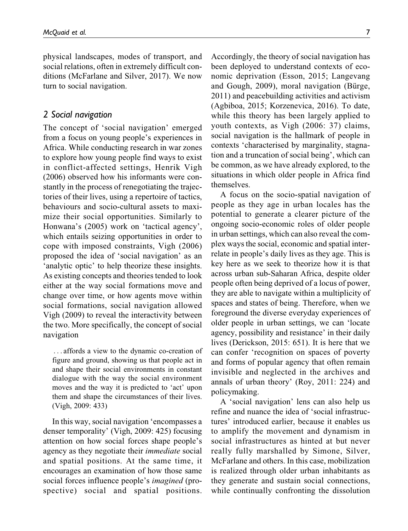physical landscapes, modes of transport, and social relations, often in extremely difficult conditions (McFarlane and Silver, 2017). We now turn to social navigation.

### 2 Social navigation

The concept of 'social navigation' emerged from a focus on young people's experiences in Africa. While conducting research in war zones to explore how young people find ways to exist in conflict-affected settings, Henrik Vigh (2006) observed how his informants were constantly in the process of renegotiating the trajectories of their lives, using a repertoire of tactics, behaviours and socio-cultural assets to maximize their social opportunities. Similarly to Honwana's (2005) work on 'tactical agency', which entails seizing opportunities in order to cope with imposed constraints, Vigh (2006) proposed the idea of 'social navigation' as an 'analytic optic' to help theorize these insights. As existing concepts and theories tended to look either at the way social formations move and change over time, or how agents move within social formations, social navigation allowed Vigh (2009) to reveal the interactivity between the two. More specifically, the concept of social navigation

... affords a view to the dynamic co-creation of figure and ground, showing us that people act in and shape their social environments in constant dialogue with the way the social environment moves and the way it is predicted to 'act' upon them and shape the circumstances of their lives. (Vigh, 2009: 433)

In this way, social navigation 'encompasses a denser temporality' (Vigh, 2009: 425) focusing attention on how social forces shape people's agency as they negotiate their immediate social and spatial positions. At the same time, it encourages an examination of how those same social forces influence people's *imagined* (prospective) social and spatial positions. Accordingly, the theory of social navigation has been deployed to understand contexts of economic deprivation (Esson, 2015; Langevang and Gough, 2009), moral navigation (Bürge, 2011) and peacebuilding activities and activism (Agbiboa, 2015; Korzenevica, 2016). To date, while this theory has been largely applied to youth contexts, as Vigh (2006: 37) claims, social navigation is the hallmark of people in contexts 'characterised by marginality, stagnation and a truncation of social being', which can be common, as we have already explored, to the situations in which older people in Africa find themselves.

A focus on the socio-spatial navigation of people as they age in urban locales has the potential to generate a clearer picture of the ongoing socio-economic roles of older people in urban settings, which can also reveal the complex ways the social, economic and spatial interrelate in people's daily lives as they age. This is key here as we seek to theorize how it is that across urban sub-Saharan Africa, despite older people often being deprived of a locus of power, they are able to navigate within a multiplicity of spaces and states of being. Therefore, when we foreground the diverse everyday experiences of older people in urban settings, we can 'locate agency, possibility and resistance' in their daily lives (Derickson, 2015: 651). It is here that we can confer 'recognition on spaces of poverty and forms of popular agency that often remain invisible and neglected in the archives and annals of urban theory' (Roy, 2011: 224) and policymaking.

A 'social navigation' lens can also help us refine and nuance the idea of 'social infrastructures' introduced earlier, because it enables us to amplify the movement and dynamism in social infrastructures as hinted at but never really fully marshalled by Simone, Silver, McFarlane and others. In this case, mobilization is realized through older urban inhabitants as they generate and sustain social connections, while continually confronting the dissolution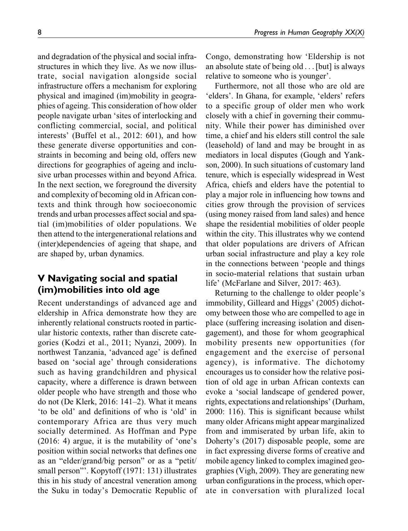and degradation of the physical and social infrastructures in which they live. As we now illustrate, social navigation alongside social infrastructure offers a mechanism for exploring physical and imagined (im)mobility in geographies of ageing. This consideration of how older people navigate urban 'sites of interlocking and conflicting commercial, social, and political interests' (Buffel et al., 2012: 601), and how these generate diverse opportunities and constraints in becoming and being old, offers new directions for geographies of ageing and inclusive urban processes within and beyond Africa. In the next section, we foreground the diversity and complexity of becoming old in African contexts and think through how socioeconomic trends and urban processes affect social and spatial (im)mobilities of older populations. We then attend to the intergenerational relations and (inter)dependencies of ageing that shape, and are shaped by, urban dynamics.

## V Navigating social and spatial (im)mobilities into old age

Recent understandings of advanced age and eldership in Africa demonstrate how they are inherently relational constructs rooted in particular historic contexts, rather than discrete categories (Kodzi et al., 2011; Nyanzi, 2009). In northwest Tanzania, 'advanced age' is defined based on 'social age' through considerations such as having grandchildren and physical capacity, where a difference is drawn between older people who have strength and those who do not (De Klerk, 2016: 141–2). What it means 'to be old' and definitions of who is 'old' in contemporary Africa are thus very much socially determined. As Hoffman and Pype (2016: 4) argue, it is the mutability of 'one's position within social networks that defines one as an "elder/grand/big person" or as a "petit/ small person"'. Kopytoff (1971: 131) illustrates this in his study of ancestral veneration among the Suku in today's Democratic Republic of

Congo, demonstrating how 'Eldership is not an absolute state of being old ...[but] is always relative to someone who is younger'.

Furthermore, not all those who are old are 'elders'. In Ghana, for example, 'elders' refers to a specific group of older men who work closely with a chief in governing their community. While their power has diminished over time, a chief and his elders still control the sale (leasehold) of land and may be brought in as mediators in local disputes (Gough and Yankson, 2000). In such situations of customary land tenure, which is especially widespread in West Africa, chiefs and elders have the potential to play a major role in influencing how towns and cities grow through the provision of services (using money raised from land sales) and hence shape the residential mobilities of older people within the city. This illustrates why we contend that older populations are drivers of African urban social infrastructure and play a key role in the connections between 'people and things in socio-material relations that sustain urban life' (McFarlane and Silver, 2017: 463).

Returning to the challenge to older people's immobility, Gilleard and Higgs' (2005) dichotomy between those who are compelled to age in place (suffering increasing isolation and disengagement), and those for whom geographical mobility presents new opportunities (for engagement and the exercise of personal agency), is informative. The dichotomy encourages us to consider how the relative position of old age in urban African contexts can evoke a 'social landscape of gendered power, rights, expectations and relationships' (Durham, 2000: 116). This is significant because whilst many older Africans might appear marginalized from and immiserated by urban life, akin to Doherty's (2017) disposable people, some are in fact expressing diverse forms of creative and mobile agency linked to complex imagined geographies (Vigh, 2009). They are generating new urban configurations in the process, which operate in conversation with pluralized local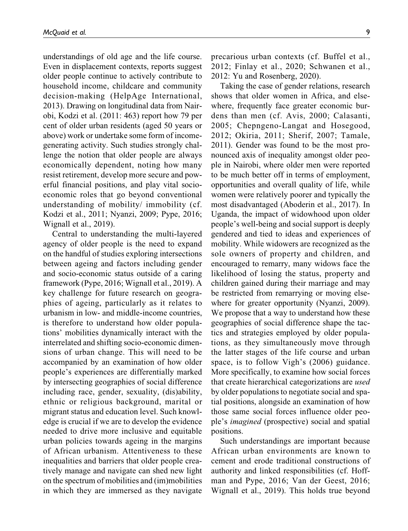understandings of old age and the life course. Even in displacement contexts, reports suggest older people continue to actively contribute to household income, childcare and community decision-making (HelpAge International, 2013). Drawing on longitudinal data from Nairobi, Kodzi et al. (2011: 463) report how 79 per cent of older urban residents (aged 50 years or above) work or undertake some form of incomegenerating activity. Such studies strongly challenge the notion that older people are always economically dependent, noting how many resist retirement, develop more secure and powerful financial positions, and play vital socioeconomic roles that go beyond conventional understanding of mobility/ immobility (cf. Kodzi et al., 2011; Nyanzi, 2009; Pype, 2016; Wignall et al., 2019).

Central to understanding the multi-layered agency of older people is the need to expand on the handful of studies exploring intersections between ageing and factors including gender and socio-economic status outside of a caring framework (Pype, 2016; Wignall et al., 2019). A key challenge for future research on geographies of ageing, particularly as it relates to urbanism in low- and middle-income countries, is therefore to understand how older populations' mobilities dynamically interact with the interrelated and shifting socio-economic dimensions of urban change. This will need to be accompanied by an examination of how older people's experiences are differentially marked by intersecting geographies of social difference including race, gender, sexuality, (dis)ability, ethnic or religious background, marital or migrant status and education level. Such knowledge is crucial if we are to develop the evidence needed to drive more inclusive and equitable urban policies towards ageing in the margins of African urbanism. Attentiveness to these inequalities and barriers that older people creatively manage and navigate can shed new light on the spectrum of mobilities and (im)mobilities in which they are immersed as they navigate precarious urban contexts (cf. Buffel et al., 2012; Finlay et al., 2020; Schwanen et al., 2012: Yu and Rosenberg, 2020).

Taking the case of gender relations, research shows that older women in Africa, and elsewhere, frequently face greater economic burdens than men (cf. Avis, 2000; Calasanti, 2005; Chepngeno-Langat and Hosegood, 2012; Okiria, 2011; Sherif, 2007; Tamale, 2011). Gender was found to be the most pronounced axis of inequality amongst older people in Nairobi, where older men were reported to be much better off in terms of employment, opportunities and overall quality of life, while women were relatively poorer and typically the most disadvantaged (Aboderin et al., 2017). In Uganda, the impact of widowhood upon older people's well-being and social support is deeply gendered and tied to ideas and experiences of mobility. While widowers are recognized as the sole owners of property and children, and encouraged to remarry, many widows face the likelihood of losing the status, property and children gained during their marriage and may be restricted from remarrying or moving elsewhere for greater opportunity (Nyanzi, 2009). We propose that a way to understand how these geographies of social difference shape the tactics and strategies employed by older populations, as they simultaneously move through the latter stages of the life course and urban space, is to follow Vigh's (2006) guidance. More specifically, to examine how social forces that create hierarchical categorizations are used by older populations to negotiate social and spatial positions, alongside an examination of how those same social forces influence older people's imagined (prospective) social and spatial positions.

Such understandings are important because African urban environments are known to cement and erode traditional constructions of authority and linked responsibilities (cf. Hoffman and Pype, 2016; Van der Geest, 2016; Wignall et al., 2019). This holds true beyond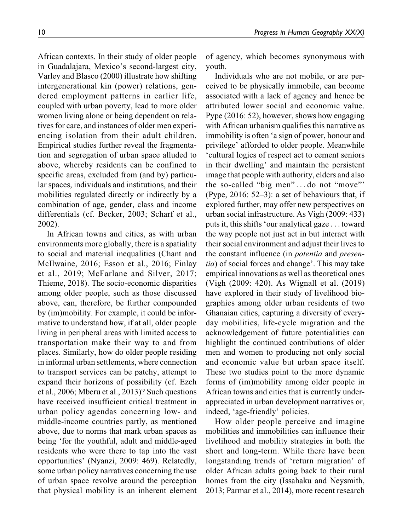African contexts. In their study of older people in Guadalajara, Mexico's second-largest city, Varley and Blasco (2000) illustrate how shifting intergenerational kin (power) relations, gendered employment patterns in earlier life, coupled with urban poverty, lead to more older women living alone or being dependent on relatives for care, and instances of older men experiencing isolation from their adult children. Empirical studies further reveal the fragmentation and segregation of urban space alluded to above, whereby residents can be confined to specific areas, excluded from (and by) particular spaces, individuals and institutions, and their mobilities regulated directly or indirectly by a combination of age, gender, class and income differentials (cf. Becker, 2003; Scharf et al., 2002).

In African towns and cities, as with urban environments more globally, there is a spatiality to social and material inequalities (Chant and McIlwaine, 2016; Esson et al., 2016; Finlay et al., 2019; McFarlane and Silver, 2017; Thieme, 2018). The socio-economic disparities among older people, such as those discussed above, can, therefore, be further compounded by (im)mobility. For example, it could be informative to understand how, if at all, older people living in peripheral areas with limited access to transportation make their way to and from places. Similarly, how do older people residing in informal urban settlements, where connection to transport services can be patchy, attempt to expand their horizons of possibility (cf. Ezeh et al., 2006; Mberu et al., 2013)? Such questions have received insufficient critical treatment in urban policy agendas concerning low- and middle-income countries partly, as mentioned above, due to norms that mark urban spaces as being 'for the youthful, adult and middle-aged residents who were there to tap into the vast opportunities' (Nyanzi, 2009: 469). Relatedly, some urban policy narratives concerning the use of urban space revolve around the perception that physical mobility is an inherent element

of agency, which becomes synonymous with youth.

Individuals who are not mobile, or are perceived to be physically immobile, can become associated with a lack of agency and hence be attributed lower social and economic value. Pype (2016: 52), however, shows how engaging with African urbanism qualifies this narrative as immobility is often 'a sign of power, honour and privilege' afforded to older people. Meanwhile 'cultural logics of respect act to cement seniors in their dwelling' and maintain the persistent image that people with authority, elders and also the so-called "big men" ... do not "move"' (Pype, 2016: 52–3): a set of behaviours that, if explored further, may offer new perspectives on urban social infrastructure. As Vigh (2009: 433) puts it, this shifts 'our analytical gaze ... toward the way people not just act in but interact with their social environment and adjust their lives to the constant influence (in potentia and presentia) of social forces and change'. This may take empirical innovations as well as theoretical ones (Vigh (2009: 420). As Wignall et al. (2019) have explored in their study of livelihood biographies among older urban residents of two Ghanaian cities, capturing a diversity of everyday mobilities, life-cycle migration and the acknowledgement of future potentialities can highlight the continued contributions of older men and women to producing not only social and economic value but urban space itself. These two studies point to the more dynamic forms of (im)mobility among older people in African towns and cities that is currently underappreciated in urban development narratives or, indeed, 'age-friendly' policies.

How older people perceive and imagine mobilities and immobilities can influence their livelihood and mobility strategies in both the short and long-term. While there have been longstanding trends of 'return migration' of older African adults going back to their rural homes from the city (Issahaku and Neysmith, 2013; Parmar et al., 2014), more recent research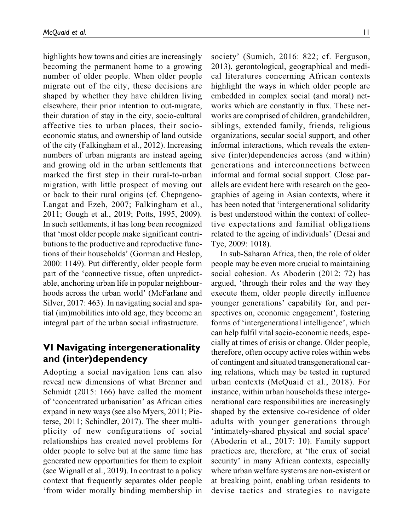highlights how towns and cities are increasingly becoming the permanent home to a growing number of older people. When older people migrate out of the city, these decisions are shaped by whether they have children living elsewhere, their prior intention to out-migrate, their duration of stay in the city, socio-cultural affective ties to urban places, their socioeconomic status, and ownership of land outside of the city (Falkingham et al., 2012). Increasing numbers of urban migrants are instead ageing and growing old in the urban settlements that marked the first step in their rural-to-urban migration, with little prospect of moving out or back to their rural origins (cf. Chepngeno-Langat and Ezeh, 2007; Falkingham et al., 2011; Gough et al., 2019; Potts, 1995, 2009). In such settlements, it has long been recognized that 'most older people make significant contributions to the productive and reproductive functions of their households' (Gorman and Heslop, 2000: 1149). Put differently, older people form part of the 'connective tissue, often unpredictable, anchoring urban life in popular neighbourhoods across the urban world' (McFarlane and Silver, 2017: 463). In navigating social and spatial (im)mobilities into old age, they become an integral part of the urban social infrastructure.

# VI Navigating intergenerationality and (inter)dependency

Adopting a social navigation lens can also reveal new dimensions of what Brenner and Schmidt (2015: 166) have called the moment of 'concentrated urbanisation' as African cities expand in new ways (see also Myers, 2011; Pieterse, 2011; Schindler, 2017). The sheer multiplicity of new configurations of social relationships has created novel problems for older people to solve but at the same time has generated new opportunities for them to exploit (see Wignall et al., 2019). In contrast to a policy context that frequently separates older people 'from wider morally binding membership in society' (Sumich, 2016: 822; cf. Ferguson, 2013), gerontological, geographical and medical literatures concerning African contexts highlight the ways in which older people are embedded in complex social (and moral) networks which are constantly in flux. These networks are comprised of children, grandchildren, siblings, extended family, friends, religious organizations, secular social support, and other informal interactions, which reveals the extensive (inter)dependencies across (and within) generations and interconnections between informal and formal social support. Close parallels are evident here with research on the geographies of ageing in Asian contexts, where it has been noted that 'intergenerational solidarity is best understood within the context of collective expectations and familial obligations related to the ageing of individuals' (Desai and Tye, 2009: 1018).

In sub-Saharan Africa, then, the role of older people may be even more crucial to maintaining social cohesion. As Aboderin (2012: 72) has argued, 'through their roles and the way they execute them, older people directly influence younger generations' capability for, and perspectives on, economic engagement', fostering forms of 'intergenerational intelligence', which can help fulfil vital socio-economic needs, especially at times of crisis or change. Older people, therefore, often occupy active roles within webs of contingent and situated transgenerational caring relations, which may be tested in ruptured urban contexts (McQuaid et al., 2018). For instance, within urban households these intergenerational care responsibilities are increasingly shaped by the extensive co-residence of older adults with younger generations through 'intimately-shared physical and social space' (Aboderin et al., 2017: 10). Family support practices are, therefore, at 'the crux of social security' in many African contexts, especially where urban welfare systems are non-existent or at breaking point, enabling urban residents to devise tactics and strategies to navigate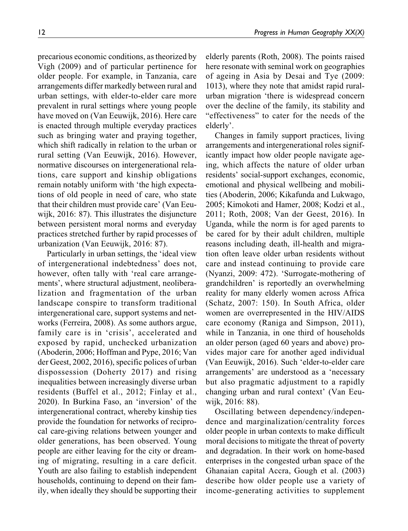precarious economic conditions, as theorized by Vigh (2009) and of particular pertinence for older people. For example, in Tanzania, care arrangements differ markedly between rural and urban settings, with elder-to-elder care more prevalent in rural settings where young people have moved on (Van Eeuwijk, 2016). Here care is enacted through multiple everyday practices such as bringing water and praying together, which shift radically in relation to the urban or rural setting (Van Eeuwijk, 2016). However, normative discourses on intergenerational relations, care support and kinship obligations remain notably uniform with 'the high expectations of old people in need of care, who state that their children must provide care' (Van Eeuwijk, 2016: 87). This illustrates the disjuncture between persistent moral norms and everyday practices stretched further by rapid processes of urbanization (Van Eeuwijk, 2016: 87).

Particularly in urban settings, the 'ideal view of intergenerational indebtedness' does not, however, often tally with 'real care arrangements', where structural adjustment, neoliberalization and fragmentation of the urban landscape conspire to transform traditional intergenerational care, support systems and networks (Ferreira, 2008). As some authors argue, family care is in 'crisis', accelerated and exposed by rapid, unchecked urbanization (Aboderin, 2006; Hoffman and Pype, 2016; Van der Geest, 2002, 2016), specific polices of urban dispossession (Doherty 2017) and rising inequalities between increasingly diverse urban residents (Buffel et al., 2012; Finlay et al., 2020). In Burkina Faso, an 'inversion' of the intergenerational contract, whereby kinship ties provide the foundation for networks of reciprocal care-giving relations between younger and older generations, has been observed. Young people are either leaving for the city or dreaming of migrating, resulting in a care deficit. Youth are also failing to establish independent households, continuing to depend on their family, when ideally they should be supporting their elderly parents (Roth, 2008). The points raised here resonate with seminal work on geographies of ageing in Asia by Desai and Tye (2009: 1013), where they note that amidst rapid ruralurban migration 'there is widespread concern over the decline of the family, its stability and "effectiveness" to cater for the needs of the elderly'.

Changes in family support practices, living arrangements and intergenerational roles significantly impact how older people navigate ageing, which affects the nature of older urban residents' social-support exchanges, economic, emotional and physical wellbeing and mobilities (Aboderin, 2006; Kikafunda and Lukwago, 2005; Kimokoti and Hamer, 2008; Kodzi et al., 2011; Roth, 2008; Van der Geest, 2016). In Uganda, while the norm is for aged parents to be cared for by their adult children, multiple reasons including death, ill-health and migration often leave older urban residents without care and instead continuing to provide care (Nyanzi, 2009: 472). 'Surrogate-mothering of grandchildren' is reportedly an overwhelming reality for many elderly women across Africa (Schatz, 2007: 150). In South Africa, older women are overrepresented in the HIV/AIDS care economy (Raniga and Simpson, 2011), while in Tanzania, in one third of households an older person (aged 60 years and above) provides major care for another aged individual (Van Eeuwijk, 2016). Such 'elder-to-elder care arrangements' are understood as a 'necessary but also pragmatic adjustment to a rapidly changing urban and rural context' (Van Eeuwijk, 2016: 88).

Oscillating between dependency/independence and marginalization/centrality forces older people in urban contexts to make difficult moral decisions to mitigate the threat of poverty and degradation. In their work on home-based enterprises in the congested urban space of the Ghanaian capital Accra, Gough et al. (2003) describe how older people use a variety of income-generating activities to supplement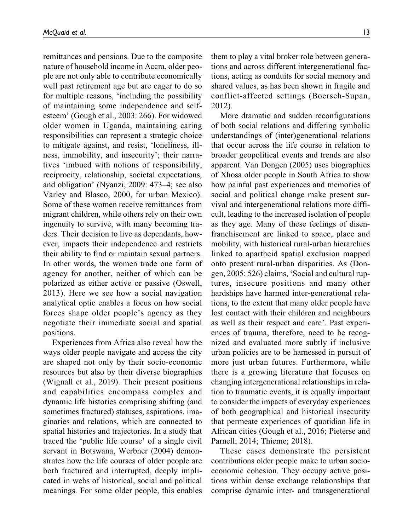remittances and pensions. Due to the composite nature of household income in Accra, older people are not only able to contribute economically well past retirement age but are eager to do so for multiple reasons, 'including the possibility of maintaining some independence and selfesteem' (Gough et al., 2003: 266). For widowed older women in Uganda, maintaining caring responsibilities can represent a strategic choice to mitigate against, and resist, 'loneliness, illness, immobility, and insecurity'; their narratives 'imbued with notions of responsibility, reciprocity, relationship, societal expectations, and obligation' (Nyanzi, 2009: 473–4; see also Varley and Blasco, 2000, for urban Mexico). Some of these women receive remittances from migrant children, while others rely on their own ingenuity to survive, with many becoming traders. Their decision to live as dependants, however, impacts their independence and restricts their ability to find or maintain sexual partners. In other words, the women trade one form of agency for another, neither of which can be polarized as either active or passive (Oswell, 2013). Here we see how a social navigation analytical optic enables a focus on how social forces shape older people's agency as they negotiate their immediate social and spatial positions.

Experiences from Africa also reveal how the ways older people navigate and access the city are shaped not only by their socio-economic resources but also by their diverse biographies (Wignall et al., 2019). Their present positions and capabilities encompass complex and dynamic life histories comprising shifting (and sometimes fractured) statuses, aspirations, imaginaries and relations, which are connected to spatial histories and trajectories. In a study that traced the 'public life course' of a single civil servant in Botswana, Werbner (2004) demonstrates how the life courses of older people are both fractured and interrupted, deeply implicated in webs of historical, social and political meanings. For some older people, this enables them to play a vital broker role between generations and across different intergenerational factions, acting as conduits for social memory and shared values, as has been shown in fragile and conflict-affected settings (Boersch-Supan, 2012).

More dramatic and sudden reconfigurations of both social relations and differing symbolic understandings of (inter)generational relations that occur across the life course in relation to broader geopolitical events and trends are also apparent. Van Dongen (2005) uses biographies of Xhosa older people in South Africa to show how painful past experiences and memories of social and political change make present survival and intergenerational relations more difficult, leading to the increased isolation of people as they age. Many of these feelings of disenfranchisement are linked to space, place and mobility, with historical rural-urban hierarchies linked to apartheid spatial exclusion mapped onto present rural-urban disparities. As (Dongen, 2005: 526) claims, 'Social and cultural ruptures, insecure positions and many other hardships have harmed inter-generational relations, to the extent that many older people have lost contact with their children and neighbours as well as their respect and care'. Past experiences of trauma, therefore, need to be recognized and evaluated more subtly if inclusive urban policies are to be harnessed in pursuit of more just urban futures. Furthermore, while there is a growing literature that focuses on changing intergenerational relationships in relation to traumatic events, it is equally important to consider the impacts of everyday experiences of both geographical and historical insecurity that permeate experiences of quotidian life in African cities (Gough et al., 2016; Pieterse and Parnell; 2014; Thieme; 2018).

These cases demonstrate the persistent contributions older people make to urban socioeconomic cohesion. They occupy active positions within dense exchange relationships that comprise dynamic inter- and transgenerational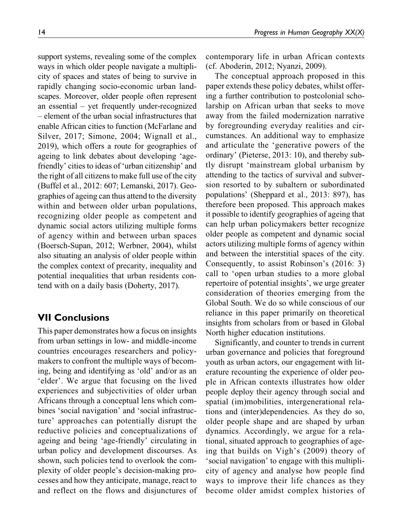support systems, revealing some of the complex ways in which older people navigate a multiplicity of spaces and states of being to survive in rapidly changing socio-economic urban landscapes. Moreover, older people often represent an essential – yet frequently under-recognized – element of the urban social infrastructures that enable African cities to function (McFarlane and Silver, 2017; Simone, 2004; Wignall et al., 2019), which offers a route for geographies of ageing to link debates about developing 'agefriendly' cities to ideas of 'urban citizenship' and the right of all citizens to make full use of the city (Buffel et al., 2012: 607; Lemanski, 2017). Geographies of ageing can thus attend to the diversity within and between older urban populations, recognizing older people as competent and dynamic social actors utilizing multiple forms of agency within and between urban spaces (Boersch-Supan, 2012; Werbner, 2004), whilst also situating an analysis of older people within the complex context of precarity, inequality and potential inequalities that urban residents contend with on a daily basis (Doherty, 2017).

### VII Conclusions

This paper demonstrates how a focus on insights from urban settings in low- and middle-income countries encourages researchers and policymakers to confront the multiple ways of becoming, being and identifying as 'old' and/or as an 'elder'. We argue that focusing on the lived experiences and subjectivities of older urban Africans through a conceptual lens which combines 'social navigation' and 'social infrastructure' approaches can potentially disrupt the reductive policies and conceptualizations of ageing and being 'age-friendly' circulating in urban policy and development discourses. As shown, such policies tend to overlook the complexity of older people's decision-making processes and how they anticipate, manage, react to and reflect on the flows and disjunctures of contemporary life in urban African contexts (cf. Aboderin, 2012; Nyanzi, 2009).

The conceptual approach proposed in this paper extends these policy debates, whilst offering a further contribution to postcolonial scholarship on African urban that seeks to move away from the failed modernization narrative by foregrounding everyday realities and circumstances. An additional way to emphasize and articulate the 'generative powers of the ordinary' (Pieterse, 2013: 10), and thereby subtly disrupt 'mainstream global urbanism by attending to the tactics of survival and subversion resorted to by subaltern or subordinated populations' (Sheppard et al., 2013: 897), has therefore been proposed. This approach makes it possible to identify geographies of ageing that can help urban policymakers better recognize older people as competent and dynamic social actors utilizing multiple forms of agency within and between the interstitial spaces of the city. Consequently, to assist Robinson's (2016: 3) call to 'open urban studies to a more global repertoire of potential insights', we urge greater consideration of theories emerging from the Global South. We do so while conscious of our reliance in this paper primarily on theoretical insights from scholars from or based in Global North higher education institutions.

Significantly, and counter to trends in current urban governance and policies that foreground youth as urban actors, our engagement with literature recounting the experience of older people in African contexts illustrates how older people deploy their agency through social and spatial (im)mobilities, intergenerational relations and (inter)dependencies. As they do so, older people shape and are shaped by urban dynamics. Accordingly, we argue for a relational, situated approach to geographies of ageing that builds on Vigh's (2009) theory of 'social navigation' to engage with this multiplicity of agency and analyse how people find ways to improve their life chances as they become older amidst complex histories of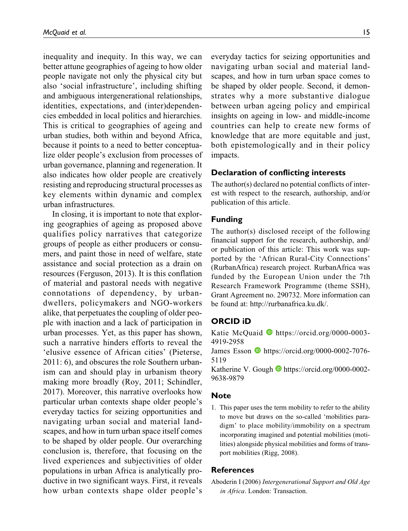inequality and inequity. In this way, we can better attune geographies of ageing to how older people navigate not only the physical city but also 'social infrastructure', including shifting and ambiguous intergenerational relationships, identities, expectations, and (inter)dependencies embedded in local politics and hierarchies. This is critical to geographies of ageing and urban studies, both within and beyond Africa, because it points to a need to better conceptualize older people's exclusion from processes of urban governance, planning and regeneration. It also indicates how older people are creatively resisting and reproducing structural processes as key elements within dynamic and complex urban infrastructures.

In closing, it is important to note that exploring geographies of ageing as proposed above qualifies policy narratives that categorize groups of people as either producers or consumers, and paint those in need of welfare, state assistance and social protection as a drain on resources (Ferguson, 2013). It is this conflation of material and pastoral needs with negative connotations of dependency, by urbandwellers, policymakers and NGO-workers alike, that perpetuates the coupling of older people with inaction and a lack of participation in urban processes. Yet, as this paper has shown, such a narrative hinders efforts to reveal the 'elusive essence of African cities' (Pieterse, 2011: 6), and obscures the role Southern urbanism can and should play in urbanism theory making more broadly (Roy, 2011; Schindler, 2017). Moreover, this narrative overlooks how particular urban contexts shape older people's everyday tactics for seizing opportunities and navigating urban social and material landscapes, and how in turn urban space itself comes to be shaped by older people. Our overarching conclusion is, therefore, that focusing on the lived experiences and subjectivities of older populations in urban Africa is analytically productive in two significant ways. First, it reveals how urban contexts shape older people's everyday tactics for seizing opportunities and navigating urban social and material landscapes, and how in turn urban space comes to be shaped by older people. Second, it demonstrates why a more substantive dialogue between urban ageing policy and empirical insights on ageing in low- and middle-income countries can help to create new forms of knowledge that are more equitable and just, both epistemologically and in their policy impacts.

### Declaration of conflicting interests

The author(s) declared no potential conflicts of interest with respect to the research, authorship, and/or publication of this article.

### Funding

The author(s) disclosed receipt of the following financial support for the research, authorship, and/ or publication of this article: This work was supported by the 'African Rural-City Connections' (RurbanAfrica) research project. RurbanAfrica was funded by the European Union under the 7th Research Framework Programme (theme SSH), Grant Agreement no. 290732. More information can be found at:<http://rurbanafrica.ku.dk/>.

### ORCID iD

Katie McQuaid **[https://orcid.org/0000-0003-](https://orcid.org/0000-0003-4919-2958)** [4919-2958](https://orcid.org/0000-0003-4919-2958)

James Esson  $\bullet$  [https://orcid.org/0000-0002-7076-](https://orcid.org/0000-0002-7076-5119) [5119](https://orcid.org/0000-0002-7076-5119)

Katherine V. Gough **I** [https://orcid.org/0000-0002-](https://orcid.org/0000-0002-9638-9879) [9638-9879](https://orcid.org/0000-0002-9638-9879)

### Note

1. This paper uses the term mobility to refer to the ability to move but draws on the so-called 'mobilities paradigm' to place mobility/immobility on a spectrum incorporating imagined and potential mobilities (motilities) alongside physical mobilities and forms of transport mobilities (Rigg, 2008).

### References

Aboderin I (2006) Intergenerational Support and Old Age in Africa. London: Transaction.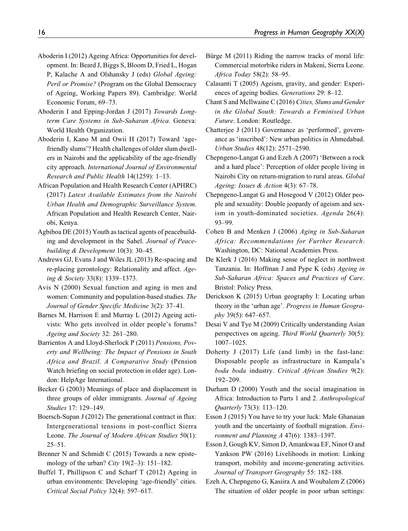- Aboderin I (2012) Ageing Africa: Opportunities for development. In: Beard J, Biggs S, Bloom D, Fried L, Hogan P, Kalache A and Olshansky J (eds) Global Ageing: Peril or Promise? (Program on the Global Democracy of Ageing, Working Papers 89). Cambridge: World Economic Forum, 69–73.
- Aboderin I and Epping-Jordan J (2017) Towards Longterm Care Systems in Sub-Saharan Africa. Geneva: World Health Organization.
- Aboderin I, Kano M and Owii H (2017) Toward 'agefriendly slums'? Health challenges of older slum dwellers in Nairobi and the applicability of the age-friendly city approach. International Journal of Environmental Research and Public Health 14(1259): 1–13.
- African Population and Health Research Center (APHRC) (2017) Latest Available Estimates from the Nairobi Urban Health and Demographic Surveillance System. African Population and Health Research Center, Nairobi, Kenya.
- Agbiboa DE (2015) Youth as tactical agents of peacebuilding and development in the Sahel. Journal of Peacebuilding & Development 10(3): 30–45.
- Andrews GJ, Evans J and Wiles JL (2013) Re-spacing and re-placing gerontology: Relationality and affect. Ageing & Society 33(8): 1339–1373.
- Avis N (2000) Sexual function and aging in men and women: Community and population-based studies. The Journal of Gender Specific Medicine 3(2): 37–41.
- Barnes M, Harrison E and Murray L (2012) Ageing activists: Who gets involved in older people's forums? Ageing and Society 32: 261–280.
- Barrientos A and Lloyd-Sherlock P (2011) Pensions, Poverty and Wellbeing: The Impact of Pensions in South Africa and Brazil. A Comparative Study (Pension Watch briefing on social protection in older age). London: HelpAge International.
- Becker G (2003) Meanings of place and displacement in three groups of older immigrants. Journal of Ageing Studies 17: 129–149.
- Boersch-Supan J (2012) The generational contract in flux: Intergenerational tensions in post-conflict Sierra Leone. The Journal of Modern African Studies 50(1): 25–51.
- Brenner N and Schmidt C (2015) Towards a new epistemology of the urban? City  $19(2-3)$ : 151-182.
- Buffel T, Phillipson C and Scharf T (2012) Ageing in urban environments: Developing 'age-friendly' cities. Critical Social Policy 32(4): 597–617.
- Bürge  $M$  (2011) Riding the narrow tracks of moral life: Commercial motorbike riders in Makeni, Sierra Leone. Africa Today 58(2): 58–95.
- Calasanti T (2005) Ageism, gravity, and gender: Experiences of ageing bodies. Generations 29: 8–12.
- Chant S and McIlwaine C (2016) Cities, Slums and Gender in the Global South: Towards a Feminised Urban Future. London: Routledge.
- Chatterjee J (2011) Governance as 'performed', governance as 'inscribed': New urban politics in Ahmedabad. Urban Studies 48(12): 2571–2590.
- Chepngeno-Langat G and Ezeh A (2007) 'Between a rock and a hard place': Perception of older people living in Nairobi City on return-migration to rural areas. Global Ageing: Issues & Action 4(3): 67–78.
- Chepngeno-Langat G and Hosegood V (2012) Older people and sexuality: Double jeopardy of ageism and sexism in youth-dominated societies. Agenda 26(4): 93–99.
- Cohen B and Menken J (2006) Aging in Sub-Saharan Africa: Recommendations for Further Research. Washington, DC: National Academies Press.
- De Klerk J (2016) Making sense of neglect in northwest Tanzania. In: Hoffman J and Pype K (eds) Ageing in Sub-Saharan Africa: Spaces and Practices of Care. Bristol: Policy Press.
- Derickson K (2015) Urban geography I: Locating urban theory in the 'urban age'. Progress in Human Geography 39(5): 647–657.
- Desai V and Tye M (2009) Critically understanding Asian perspectives on ageing. Third World Quarterly 30(5): 1007–1025.
- Doherty J (2017) Life (and limb) in the fast-lane: Disposable people as infrastructure in Kampala's boda boda industry. Critical African Studies 9(2): 192–209.
- Durham D (2000) Youth and the social imagination in Africa: Introduction to Parts 1 and 2. Anthropological Quarterly 73(3): 113–120.
- Esson J (2015) You have to try your luck: Male Ghanaian youth and the uncertainty of football migration. Environment and Planning A 47(6): 1383–1397.
- Esson J, Gough KV, Simon D, Amankwaa EF, Ninot O and Yankson PW (2016) Livelihoods in motion: Linking transport, mobility and income-generating activities. Journal of Transport Geography 55: 182–188.
- Ezeh A, Chepngeno G, Kasiira A and Woubalem Z (2006) The situation of older people in poor urban settings: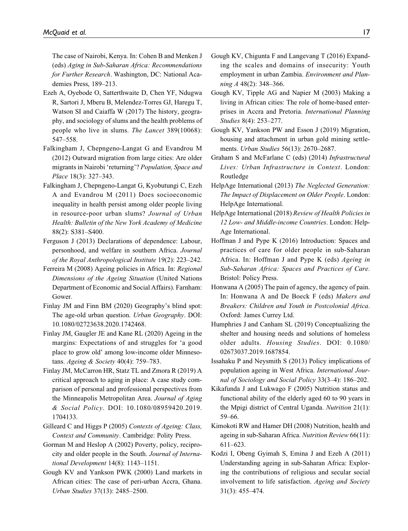The case of Nairobi, Kenya. In: Cohen B and Menken J (eds) Aging in Sub-Saharan Africa: Recommendations for Further Research. Washington, DC: National Academies Press, 189–213.

- Ezeh A, Oyebode O, Satterthwaite D, Chen YF, Ndugwa R, Sartori J, Mberu B, Melendez-Torres GJ, Haregu T, Watson SI and Caiaffa W (2017) The history, geography, and sociology of slums and the health problems of people who live in slums. The Lancet 389(10068): 547–558.
- Falkingham J, Chepngeno-Langat G and Evandrou M (2012) Outward migration from large cities: Are older migrants in Nairobi 'returning'? Population, Space and Place 18(3): 327–343.
- Falkingham J, Chepngeno-Langat G, Kyobutungi C, Ezeh A and Evandrou M (2011) Does socioeconomic inequality in health persist among older people living in resource-poor urban slums? Journal of Urban Health: Bulletin of the New York Academy of Medicine 88(2): S381–S400.
- Ferguson J (2013) Declarations of dependence: Labour, personhood, and welfare in southern Africa. Journal of the Royal Anthropological Institute 19(2): 223–242.
- Ferreira M (2008) Ageing policies in Africa. In: Regional Dimensions of the Ageing Situation (United Nations Department of Economic and Social Affairs). Farnham: Gower.
- Finlay JM and Finn BM (2020) Geography's blind spot: The age-old urban question. Urban Geography. DOI: 10.1080/02723638.2020.1742468.
- Finlay JM, Gaugler JE and Kane RL (2020) Ageing in the margins: Expectations of and struggles for 'a good place to grow old' among low-income older Minnesotans. Ageing & Society 40(4): 759–783.
- Finlay JM, McCarron HR, Statz TL and Zmora R (2019) A critical approach to aging in place: A case study comparison of personal and professional perspectives from the Minneapolis Metropolitan Area. Journal of Aging & Social Policy. DOI: 10.1080/08959420.2019. 1704133.
- Gilleard C and Higgs P (2005) Contexts of Ageing: Class, Context and Community. Cambridge: Polity Press.
- Gorman M and Heslop A (2002) Poverty, policy, reciprocity and older people in the South. Journal of International Development 14(8): 1143–1151.
- Gough KV and Yankson PWK (2000) Land markets in African cities: The case of peri-urban Accra, Ghana. Urban Studies 37(13): 2485–2500.
- Gough KV, Chigunta F and Langevang T (2016) Expanding the scales and domains of insecurity: Youth employment in urban Zambia. Environment and Planning A 48(2): 348–366.
- Gough KV, Tipple AG and Napier M (2003) Making a living in African cities: The role of home-based enterprises in Accra and Pretoria. International Planning Studies 8(4): 253–277.
- Gough KV, Yankson PW and Esson J (2019) Migration, housing and attachment in urban gold mining settlements. Urban Studies 56(13): 2670–2687.
- Graham S and McFarlane C (eds) (2014) Infrastructural Lives: Urban Infrastructure in Context. London: Routledge
- HelpAge International (2013) The Neglected Generation: The Impact of Displacement on Older People. London: HelpAge International.
- HelpAge International (2018) Review of Health Policies in 12 Low- and Middle-income Countries. London: Help-Age International.
- Hoffman J and Pype K (2016) Introduction: Spaces and practices of care for older people in sub-Saharan Africa. In: Hoffman J and Pype K (eds) Ageing in Sub-Saharan Africa: Spaces and Practices of Care. Bristol: Policy Press.
- Honwana A (2005) The pain of agency, the agency of pain. In: Honwana A and De Boeck F (eds) Makers and Breakers: Children and Youth in Postcolonial Africa. Oxford: James Currey Ltd.
- Humphries J and Canham SL (2019) Conceptualizing the shelter and housing needs and solutions of homeless older adults. Housing Studies. DOI: 0.1080/ 02673037.2019.1687854.
- Issahaku P and Neysmith S (2013) Policy implications of population ageing in West Africa. International Journal of Sociology and Social Policy 33(3–4): 186–202.
- Kikafunda J and Lukwago F (2005) Nutrition status and functional ability of the elderly aged 60 to 90 years in the Mpigi district of Central Uganda. Nutrition 21(1): 59–66.
- Kimokoti RW and Hamer DH (2008) Nutrition, health and ageing in sub-Saharan Africa. Nutrition Review 66(11): 611–623.
- Kodzi I, Obeng Gyimah S, Emina J and Ezeh A (2011) Understanding ageing in sub-Saharan Africa: Exploring the contributions of religious and secular social involvement to life satisfaction. Ageing and Society 31(3): 455–474.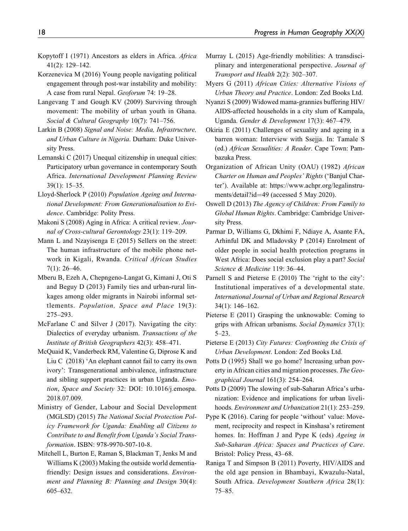- Kopytoff I (1971) Ancestors as elders in Africa. Africa 41(2): 129–142.
- Korzenevica M (2016) Young people navigating political engagement through post-war instability and mobility: A case from rural Nepal. Geoforum 74: 19–28.
- Langevang T and Gough KV (2009) Surviving through movement: The mobility of urban youth in Ghana. Social & Cultural Geography 10(7): 741–756.
- Larkin B (2008) Signal and Noise: Media, Infrastructure, and Urban Culture in Nigeria. Durham: Duke University Press.
- Lemanski C (2017) Unequal citizenship in unequal cities: Participatory urban governance in contemporary South Africa. International Development Planning Review 39(1): 15–35.
- Lloyd-Sherlock P (2010) Population Ageing and International Development: From Generationalisation to Evidence. Cambridge: Polity Press.
- Makoni S (2008) Aging in Africa: A critical review. Journal of Cross-cultural Gerontology 23(1): 119–209.
- Mann L and Nzayisenga E (2015) Sellers on the street: The human infrastructure of the mobile phone network in Kigali, Rwanda. Critical African Studies  $7(1)$ : 26–46.
- Mberu B, Ezeh A, Chepngeno-Langat G, Kimani J, Oti S and Beguy D (2013) Family ties and urban-rural linkages among older migrants in Nairobi informal settlements. Population, Space and Place 19(3): 275–293.
- McFarlane C and Silver J (2017). Navigating the city: Dialectics of everyday urbanism. Transactions of the Institute of British Geographers 42(3): 458–471.
- McQuaid K, Vanderbeck RM, Valentine G, Diprose K and Liu C (2018) 'An elephant cannot fail to carry its own ivory': Transgenerational ambivalence, infrastructure and sibling support practices in urban Uganda. Emotion, Space and Society 32: DOI: 10.1016/j.emospa. 2018.07.009.
- Ministry of Gender, Labour and Social Development (MGLSD) (2015) The National Social Protection Policy Framework for Uganda: Enabling all Citizens to Contribute to and Benefit from Uganda's Social Transformation. ISBN: 978-9970-507-10-8.
- Mitchell L, Burton E, Raman S, Blackman T, Jenks M and Williams K (2003) Making the outside world dementiafriendly: Design issues and considerations. Environment and Planning B: Planning and Design 30(4): 605–632.
- Murray L (2015) Age-friendly mobilities: A transdisciplinary and intergenerational perspective. Journal of Transport and Health 2(2): 302–307.
- Myers G (2011) African Cities: Alternative Visions of Urban Theory and Practice. London: Zed Books Ltd.
- Nyanzi S (2009) Widowed mama-grannies buffering HIV/ AIDS-affected households in a city slum of Kampala, Uganda. Gender & Development 17(3): 467–479.
- Okiria E (2011) Challenges of sexuality and ageing in a barren woman: Interview with Ssejja. In: Tamale S (ed.) African Sexualities: A Reader. Cape Town: Pambazuka Press.
- Organization of African Unity (OAU) (1982) African Charter on Human and Peoples' Rights ('Banjul Charter'). Available at: https://www.achpr.org/legalinstruments/detail?id=49 (accessed 5 May 2020).
- Oswell D (2013) The Agency of Children: From Family to Global Human Rights. Cambridge: Cambridge University Press.
- Parmar D, Williams G, Dkhimi F, Ndiaye A, Asante FA, Arhinful DK and Mladovsky P (2014) Enrolment of older people in social health protection programs in West Africa: Does social exclusion play a part? Social Science & Medicine 119: 36–44.
- Parnell S and Pieterse E (2010) The 'right to the city': Institutional imperatives of a developmental state. International Journal of Urban and Regional Research 34(1): 146–162.
- Pieterse E (2011) Grasping the unknowable: Coming to grips with African urbanisms. Social Dynamics 37(1): 5–23.
- Pieterse E (2013) City Futures: Confronting the Crisis of Urban Development. London: Zed Books Ltd.
- Potts D (1995) Shall we go home? Increasing urban poverty in African cities and migration processes. The Geographical Journal 161(3): 254–264.
- Potts D (2009) The slowing of sub-Saharan Africa's urbanization: Evidence and implications for urban livelihoods. Environment and Urbanization 21(1): 253–259.
- Pype K (2016). Caring for people 'without' value: Movement, reciprocity and respect in Kinshasa's retirement homes. In: Hoffman J and Pype K (eds) Ageing in Sub-Saharan Africa: Spaces and Practices of Care. Bristol: Policy Press, 43–68.
- Raniga T and Simpson B (2011) Poverty, HIV/AIDS and the old age pension in Bhambayi, Kwazulu-Natal, South Africa. Development Southern Africa 28(1): 75–85.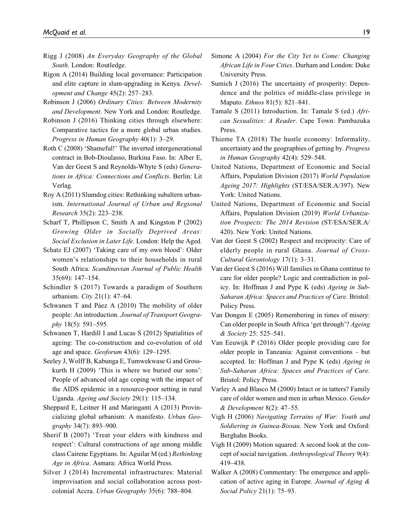- Rigg J (2008) An Everyday Geography of the Global South. London: Routledge.
- Rigon A (2014) Building local governance: Participation and elite capture in slum-upgrading in Kenya. Development and Change 45(2): 257–283.
- Robinson J (2006) Ordinary Cities: Between Modernity and Development. New York and London: Routledge.
- Robinson J (2016) Thinking cities through elsewhere: Comparative tactics for a more global urban studies. Progress in Human Geography 40(1): 3–29.

Roth C (2008) 'Shameful!' The inverted intergenerational contract in Bob-Dioulasso, Burkina Faso. In: Alber E, Van der Geest S and Reynolds-Whyte S (eds) Generations in Africa: Connections and Conflicts. Berlin: Lit Verlag.

- Roy A (2011) Slumdog cities: Rethinking subaltern urbanism. International Journal of Urban and Regional Research 35(2): 223–238.
- Scharf T, Phillipson C, Smith A and Kingston P (2002) Growing Older in Socially Deprived Areas: Social Exclusion in Later Life. London: Help the Aged.
- Schatz EJ (2007) 'Taking care of my own blood': Older women's relationships to their households in rural South Africa. Scandinavian Journal of Public Health 35(69): 147–154.
- Schindler S (2017) Towards a paradigm of Southern urbanism. City 21(1): 47–64.
- Schwanen T and Páez A (2010) The mobility of older people: An introduction. Journal of Transport Geography 18(5): 591–595.
- Schwanen T, Hardill I and Lucas S (2012) Spatialities of ageing: The co-construction and co-evolution of old age and space. Geoforum 43(6): 129–1295.
- Seeley J, Wolff B, Kabunga E, Tumwekwase G and Grosskurth H (2009) 'This is where we buried our sons': People of advanced old age coping with the impact of the AIDS epidemic in a resource-poor setting in rural Uganda. Ageing and Society 29(1): 115–134.
- Sheppard E, Leitner H and Maringanti A (2013) Provincializing global urbanism: A manifesto. Urban Geography 34(7): 893–900.
- Sherif B (2007) 'Treat your elders with kindness and respect': Cultural constructions of age among middle class Cairene Egyptians. In: Aguilar M (ed.) Rethinking Age in Africa. Asmara: Africa World Press.
- Silver J (2014) Incremental infrastructures: Material improvisation and social collaboration across postcolonial Accra. Urban Geography 35(6): 788–804.
- Simone A (2004) For the City Yet to Come: Changing African Life in Four Cities. Durham and London: Duke University Press.
- Sumich J (2016) The uncertainty of prosperity: Dependence and the politics of middle-class privilege in Maputo. Ethnos 81(5): 821–841.
- Tamale S (2011) Introduction. In: Tamale S (ed.) African Sexualities: A Reader. Cape Town: Pambazuka Press.
- Thieme TA (2018) The hustle economy: Informality, uncertainty and the geographies of getting by. Progress in Human Geography 42(4): 529–548.
- United Nations, Department of Economic and Social Affairs, Population Division (2017) World Population Ageing 2017: Highlights (ST/ESA/SER.A/397). New York: United Nations.
- United Nations, Department of Economic and Social Affairs, Population Division (2019) World Urbanization Prospects: The 2014 Revision (ST/ESA/SER.A/ 420). New York: United Nations.
- Van der Geest S (2002) Respect and reciprocity: Care of elderly people in rural Ghana. Journal of Cross-Cultural Gerontology 17(1): 3–31.
- Van der Geest S (2016) Will families in Ghana continue to care for older people? Logic and contradiction in policy. In: Hoffman J and Pype K (eds) Ageing in Sub-Saharan Africa: Spaces and Practices of Care. Bristol: Policy Press.
- Van Dongen E (2005) Remembering in times of misery: Can older people in South Africa 'get through'? Ageing & Society 25: 525–541.
- Van Eeuwijk P (2016) Older people providing care for older people in Tanzania: Against conventions – but accepted. In: Hoffman J and Pype K (eds) Ageing in Sub-Saharan Africa: Spaces and Practices of Care. Bristol: Policy Press.
- Varley A and Blasco M (2000) Intact or in tatters? Family care of older women and men in urban Mexico. Gender & Development 8(2): 47–55.
- Vigh H (2006) Navigating Terrains of War: Youth and Soldiering in Guinea-Bissau. New York and Oxford: Berghahn Books.
- Vigh H (2009) Motion squared: A second look at the concept of social navigation. Anthropological Theory 9(4): 419–438.
- Walker A (2008) Commentary: The emergence and application of active aging in Europe. Journal of Aging & Social Policy 21(1): 75–93.